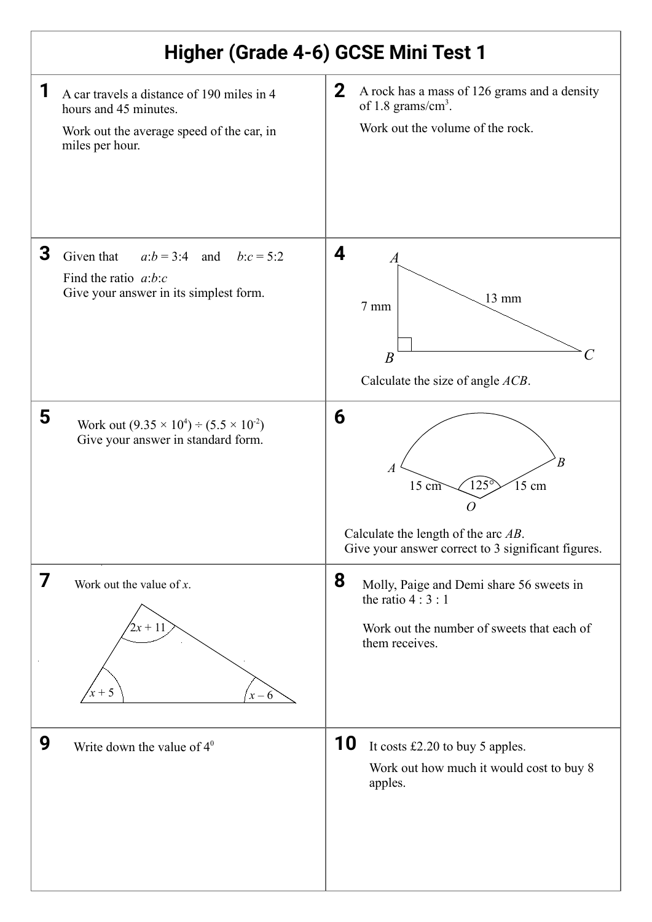